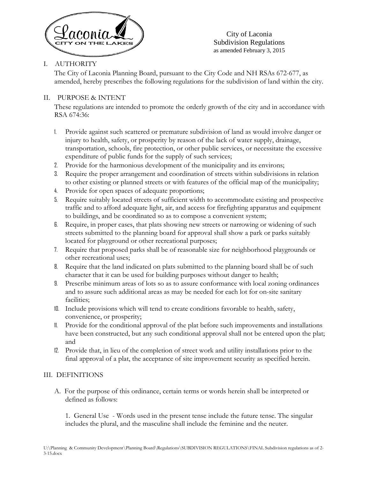

## I. AUTHORITY

The City of Laconia Planning Board, pursuant to the City Code and NH RSAs 672-677, as amended, hereby prescribes the following regulations for the subdivision of land within the city.

### II. PURPOSE & INTENT

These regulations are intended to promote the orderly growth of the city and in accordance with RSA 674:36:

- 1. Provide against such scattered or premature subdivision of land as would involve danger or injury to health, safety, or prosperity by reason of the lack of water supply, drainage, transportation, schools, fire protection, or other public services, or necessitate the excessive expenditure of public funds for the supply of such services;
- 2. Provide for the harmonious development of the municipality and its environs;
- 3. Require the proper arrangement and coordination of streets within subdivisions in relation to other existing or planned streets or with features of the official map of the municipality;
- 4. Provide for open spaces of adequate proportions;
- 5. Require suitably located streets of sufficient width to accommodate existing and prospective traffic and to afford adequate light, air, and access for firefighting apparatus and equipment to buildings, and be coordinated so as to compose a convenient system;
- 6. Require, in proper cases, that plats showing new streets or narrowing or widening of such streets submitted to the planning board for approval shall show a park or parks suitably located for playground or other recreational purposes;
- 7. Require that proposed parks shall be of reasonable size for neighborhood playgrounds or other recreational uses;
- 8. Require that the land indicated on plats submitted to the planning board shall be of such character that it can be used for building purposes without danger to health;
- 9. Prescribe minimum areas of lots so as to assure conformance with local zoning ordinances and to assure such additional areas as may be needed for each lot for on-site sanitary facilities;
- 10. Include provisions which will tend to create conditions favorable to health, safety, convenience, or prosperity;
- 11. Provide for the conditional approval of the plat before such improvements and installations have been constructed, but any such conditional approval shall not be entered upon the plat; and
- 12. Provide that, in lieu of the completion of street work and utility installations prior to the final approval of a plat, the acceptance of site improvement security as specified herein.

# III. DEFINITIONS

A. For the purpose of this ordinance, certain terms or words herein shall be interpreted or defined as follows:

1. General Use - Words used in the present tense include the future tense. The singular includes the plural, and the masculine shall include the feminine and the neuter.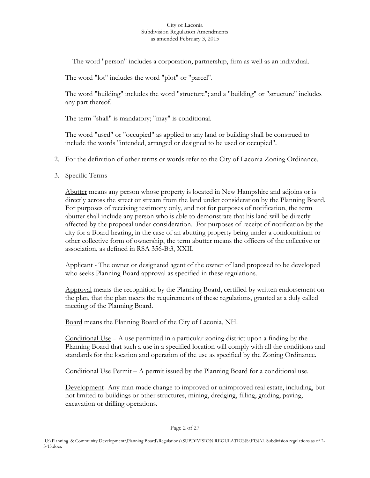The word "person" includes a corporation, partnership, firm as well as an individual.

The word "lot" includes the word "plot" or "parcel".

The word "building" includes the word "structure"; and a "building" or "structure" includes any part thereof.

The term "shall" is mandatory; "may" is conditional.

The word "used" or "occupied" as applied to any land or building shall be construed to include the words "intended, arranged or designed to be used or occupied".

- 2. For the definition of other terms or words refer to the City of Laconia Zoning Ordinance.
- 3. Specific Terms

Abutter means any person whose property is located in New Hampshire and adjoins or is directly across the street or stream from the land under consideration by the Planning Board. For purposes of receiving testimony only, and not for purposes of notification, the term abutter shall include any person who is able to demonstrate that his land will be directly affected by the proposal under consideration. For purposes of receipt of notification by the city for a Board hearing, in the case of an abutting property being under a condominium or other collective form of ownership, the term abutter means the officers of the collective or association, as defined in RSA 356-B:3, XXII.

Applicant - The owner or designated agent of the owner of land proposed to be developed who seeks Planning Board approval as specified in these regulations.

Approval means the recognition by the Planning Board, certified by written endorsement on the plan, that the plan meets the requirements of these regulations, granted at a duly called meeting of the Planning Board.

Board means the Planning Board of the City of Laconia, NH.

Conditional Use – A use permitted in a particular zoning district upon a finding by the Planning Board that such a use in a specified location will comply with all the conditions and standards for the location and operation of the use as specified by the Zoning Ordinance.

Conditional Use Permit – A permit issued by the Planning Board for a conditional use.

Development- Any man-made change to improved or unimproved real estate, including, but not limited to buildings or other structures, mining, dredging, filling, grading, paving, excavation or drilling operations.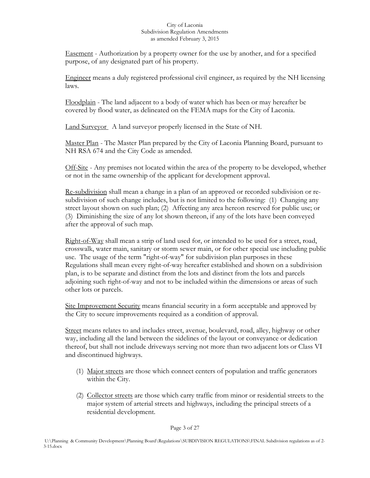Easement - Authorization by a property owner for the use by another, and for a specified purpose, of any designated part of his property.

Engineer means a duly registered professional civil engineer, as required by the NH licensing laws.

Floodplain - The land adjacent to a body of water which has been or may hereafter be covered by flood water, as delineated on the FEMA maps for the City of Laconia.

Land Surveyor A land surveyor properly licensed in the State of NH.

Master Plan - The Master Plan prepared by the City of Laconia Planning Board, pursuant to NH RSA 674 and the City Code as amended.

Off-Site - Any premises not located within the area of the property to be developed, whether or not in the same ownership of the applicant for development approval.

Re-subdivision shall mean a change in a plan of an approved or recorded subdivision or resubdivision of such change includes, but is not limited to the following: (1) Changing any street layout shown on such plan; (2) Affecting any area hereon reserved for public use; or (3) Diminishing the size of any lot shown thereon, if any of the lots have been conveyed after the approval of such map.

Right-of-Way shall mean a strip of land used for, or intended to be used for a street, road, crosswalk, water main, sanitary or storm sewer main, or for other special use including public use. The usage of the term "right-of-way" for subdivision plan purposes in these Regulations shall mean every right-of-way hereafter established and shown on a subdivision plan, is to be separate and distinct from the lots and distinct from the lots and parcels adjoining such right-of-way and not to be included within the dimensions or areas of such other lots or parcels.

Site Improvement Security means financial security in a form acceptable and approved by the City to secure improvements required as a condition of approval.

Street means relates to and includes street, avenue, boulevard, road, alley, highway or other way, including all the land between the sidelines of the layout or conveyance or dedication thereof, but shall not include driveways serving not more than two adjacent lots or Class VI and discontinued highways.

- (1) Major streets are those which connect centers of population and traffic generators within the City.
- (2) Collector streets are those which carry traffic from minor or residential streets to the major system of arterial streets and highways, including the principal streets of a residential development.

Page 3 of 27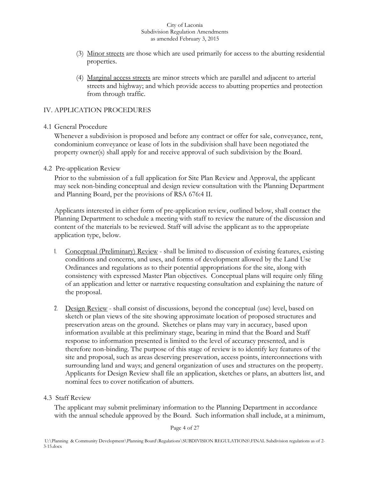- (3) Minor streets are those which are used primarily for access to the abutting residential properties.
- (4) Marginal access streets are minor streets which are parallel and adjacent to arterial streets and highway; and which provide access to abutting properties and protection from through traffic.

### IV. APPLICATION PROCEDURES

### 4.1 General Procedure

Whenever a subdivision is proposed and before any contract or offer for sale, conveyance, rent, condominium conveyance or lease of lots in the subdivision shall have been negotiated the property owner(s) shall apply for and receive approval of such subdivision by the Board.

### 4.2 Pre-application Review

Prior to the submission of a full application for Site Plan Review and Approval, the applicant may seek non-binding conceptual and design review consultation with the Planning Department and Planning Board, per the provisions of RSA 676:4 II.

Applicants interested in either form of pre-application review, outlined below, shall contact the Planning Department to schedule a meeting with staff to review the nature of the discussion and content of the materials to be reviewed. Staff will advise the applicant as to the appropriate application type, below.

- 1. Conceptual (Preliminary) Review shall be limited to discussion of existing features, existing conditions and concerns, and uses, and forms of development allowed by the Land Use Ordinances and regulations as to their potential appropriations for the site, along with consistency with expressed Master Plan objectives. Conceptual plans will require only filing of an application and letter or narrative requesting consultation and explaining the nature of the proposal.
- 2. Design Review shall consist of discussions, beyond the conceptual (use) level, based on sketch or plan views of the site showing approximate location of proposed structures and preservation areas on the ground. Sketches or plans may vary in accuracy, based upon information available at this preliminary stage, bearing in mind that the Board and Staff response to information presented is limited to the level of accuracy presented, and is therefore non-binding. The purpose of this stage of review is to identify key features of the site and proposal, such as areas deserving preservation, access points, interconnections with surrounding land and ways; and general organization of uses and structures on the property. Applicants for Design Review shall file an application, sketches or plans, an abutters list, and nominal fees to cover notification of abutters.

### 4.3 Staff Review

The applicant may submit preliminary information to the Planning Department in accordance with the annual schedule approved by the Board. Such information shall include, at a minimum,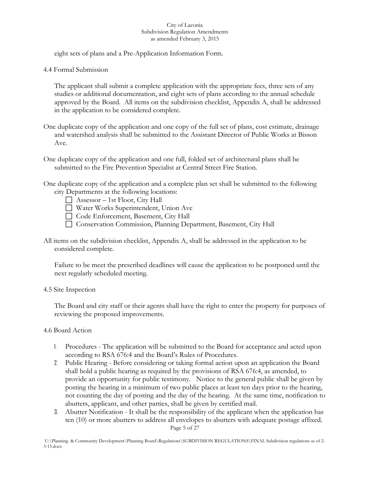eight sets of plans and a Pre-Application Information Form.

4.4 Formal Submission

The applicant shall submit a complete application with the appropriate fees, three sets of any studies or additional documentation, and eight sets of plans according to the annual schedule approved by the Board. All items on the subdivision checklist, Appendix A, shall be addressed in the application to be considered complete.

- One duplicate copy of the application and one copy of the full set of plans, cost estimate, drainage and watershed analysis shall be submitted to the Assistant Director of Public Works at Bisson Ave.
- One duplicate copy of the application and one full, folded set of architectural plans shall be submitted to the Fire Prevention Specialist at Central Street Fire Station.
- One duplicate copy of the application and a complete plan set shall be submitted to the following city Departments at the following locations:
	- $\Box$  Assessor 1st Floor, City Hall
	- Water Works Superintendent, Union Ave
	- Code Enforcement, Basement, City Hall
	- Conservation Commission, Planning Department, Basement, City Hall
- All items on the subdivision checklist, Appendix A, shall be addressed in the application to be considered complete.

Failure to be meet the prescribed deadlines will cause the application to be postponed until the next regularly scheduled meeting.

# 4.5 Site Inspection

The Board and city staff or their agents shall have the right to enter the property for purposes of reviewing the proposed improvements.

# 4.6 Board Action

- 1. Procedures The application will be submitted to the Board for acceptance and acted upon according to RSA 676:4 and the Board's Rules of Procedures.
- 2. Public Hearing Before considering or taking formal action upon an application the Board shall hold a public hearing as required by the provisions of RSA 676:4, as amended, to provide an opportunity for public testimony. Notice to the general public shall be given by posting the hearing in a minimum of two public places at least ten days prior to the hearing, not counting the day of posting and the day of the hearing. At the same time, notification to abutters, applicant, and other parties, shall be given by certified mail.
- Page 5 of 27 3. Abutter Notification - It shall be the responsibility of the applicant when the application has ten (10) or more abutters to address all envelopes to abutters with adequate postage affixed.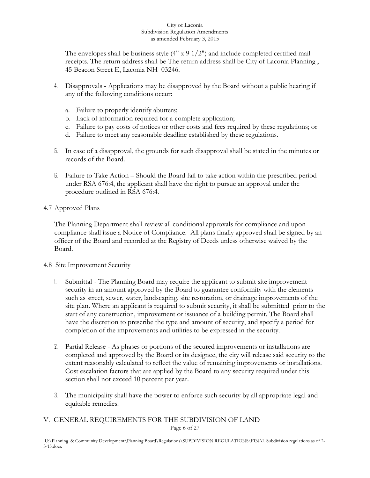The envelopes shall be business style  $(4'' \times 9 \frac{1}{2''})$  and include completed certified mail receipts. The return address shall be The return address shall be City of Laconia Planning , 45 Beacon Street E, Laconia NH 03246.

- 4. Disapprovals Applications may be disapproved by the Board without a public hearing if any of the following conditions occur:
	- a. Failure to properly identify abutters;
	- b. Lack of information required for a complete application;
	- c. Failure to pay costs of notices or other costs and fees required by these regulations; or
	- d. Failure to meet any reasonable deadline established by these regulations.
- 5. In case of a disapproval, the grounds for such disapproval shall be stated in the minutes or records of the Board.
- 6. Failure to Take Action Should the Board fail to take action within the prescribed period under RSA 676:4, the applicant shall have the right to pursue an approval under the procedure outlined in RSA 676:4.

## 4.7 Approved Plans

The Planning Department shall review all conditional approvals for compliance and upon compliance shall issue a Notice of Compliance. All plans finally approved shall be signed by an officer of the Board and recorded at the Registry of Deeds unless otherwise waived by the Board.

### 4.8 Site Improvement Security

- 1. Submittal The Planning Board may require the applicant to submit site improvement security in an amount approved by the Board to guarantee conformity with the elements such as street, sewer, water, landscaping, site restoration, or drainage improvements of the site plan. Where an applicant is required to submit security, it shall be submitted prior to the start of any construction, improvement or issuance of a building permit. The Board shall have the discretion to prescribe the type and amount of security, and specify a period for completion of the improvements and utilities to be expressed in the security.
- 2. Partial Release As phases or portions of the secured improvements or installations are completed and approved by the Board or its designee, the city will release said security to the extent reasonably calculated to reflect the value of remaining improvements or installations. Cost escalation factors that are applied by the Board to any security required under this section shall not exceed 10 percent per year.
- 3. The municipality shall have the power to enforce such security by all appropriate legal and equitable remedies.

# Page 6 of 27 V. GENERAL REQUIREMENTS FOR THE SUBDIVISION OF LAND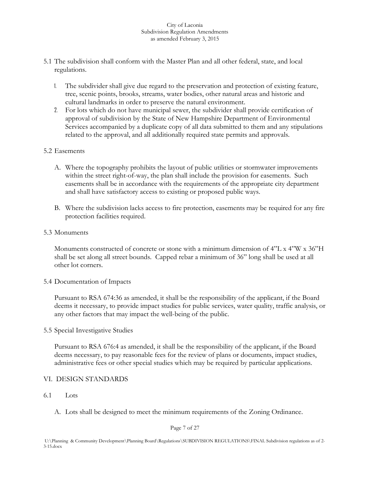- 5.1 The subdivision shall conform with the Master Plan and all other federal, state, and local regulations.
	- 1. The subdivider shall give due regard to the preservation and protection of existing feature, tree, scenic points, brooks, streams, water bodies, other natural areas and historic and cultural landmarks in order to preserve the natural environment.
	- 2. For lots which do not have municipal sewer, the subdivider shall provide certification of approval of subdivision by the State of New Hampshire Department of Environmental Services accompanied by a duplicate copy of all data submitted to them and any stipulations related to the approval, and all additionally required state permits and approvals.

### 5.2 Easements

- A. Where the topography prohibits the layout of public utilities or stormwater improvements within the street right-of-way, the plan shall include the provision for easements. Such easements shall be in accordance with the requirements of the appropriate city department and shall have satisfactory access to existing or proposed public ways.
- B. Where the subdivision lacks access to fire protection, easements may be required for any fire protection facilities required.
- 5.3 Monuments

Monuments constructed of concrete or stone with a minimum dimension of 4"L x 4"W x 36"H shall be set along all street bounds. Capped rebar a minimum of 36" long shall be used at all other lot corners.

5.4 Documentation of Impacts

Pursuant to RSA 674:36 as amended, it shall be the responsibility of the applicant, if the Board deems it necessary, to provide impact studies for public services, water quality, traffic analysis, or any other factors that may impact the well-being of the public.

5.5 Special Investigative Studies

Pursuant to RSA 676:4 as amended, it shall be the responsibility of the applicant, if the Board deems necessary, to pay reasonable fees for the review of plans or documents, impact studies, administrative fees or other special studies which may be required by particular applications.

### VI. DESIGN STANDARDS

- 6.1 Lots
	- A. Lots shall be designed to meet the minimum requirements of the Zoning Ordinance.

Page 7 of 27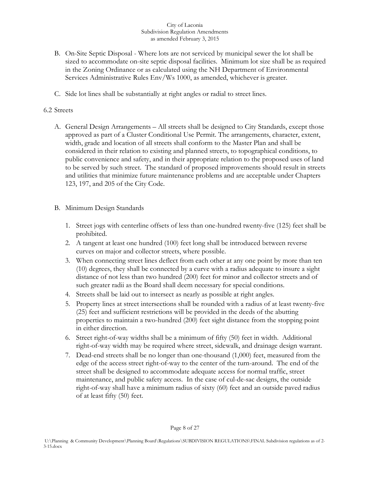- B. On-Site Septic Disposal Where lots are not serviced by municipal sewer the lot shall be sized to accommodate on-site septic disposal facilities. Minimum lot size shall be as required in the Zoning Ordinance or as calculated using the NH Department of Environmental Services Administrative Rules Env/Ws 1000, as amended, whichever is greater.
- C. Side lot lines shall be substantially at right angles or radial to street lines.

### 6.2 Streets

- A. General Design Arrangements All streets shall be designed to City Standards, except those approved as part of a Cluster Conditional Use Permit. The arrangements, character, extent, width, grade and location of all streets shall conform to the Master Plan and shall be considered in their relation to existing and planned streets, to topographical conditions, to public convenience and safety, and in their appropriate relation to the proposed uses of land to be served by such street. The standard of proposed improvements should result in streets and utilities that minimize future maintenance problems and are acceptable under Chapters 123, 197, and 205 of the City Code.
- B. Minimum Design Standards
	- 1. Street jogs with centerline offsets of less than one-hundred twenty-five (125) feet shall be prohibited.
	- 2. A tangent at least one hundred (100) feet long shall be introduced between reverse curves on major and collector streets, where possible.
	- 3. When connecting street lines deflect from each other at any one point by more than ten (10) degrees, they shall be connected by a curve with a radius adequate to insure a sight distance of not less than two hundred (200) feet for minor and collector streets and of such greater radii as the Board shall deem necessary for special conditions.
	- 4. Streets shall be laid out to intersect as nearly as possible at right angles.
	- 5. Property lines at street intersections shall be rounded with a radius of at least twenty-five (25) feet and sufficient restrictions will be provided in the deeds of the abutting properties to maintain a two-hundred (200) feet sight distance from the stopping point in either direction.
	- 6. Street right-of-way widths shall be a minimum of fifty (50) feet in width. Additional right-of-way width may be required where street, sidewalk, and drainage design warrant.
	- 7. Dead-end streets shall be no longer than one-thousand (1,000) feet, measured from the edge of the access street right-of-way to the center of the turn-around. The end of the street shall be designed to accommodate adequate access for normal traffic, street maintenance, and public safety access. In the case of cul-de-sac designs, the outside right-of-way shall have a minimum radius of sixty (60) feet and an outside paved radius of at least fifty (50) feet.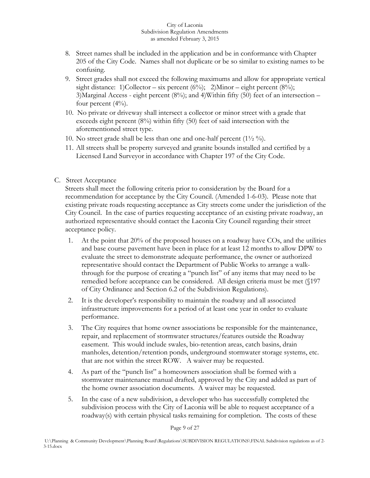- 8. Street names shall be included in the application and be in conformance with Chapter 205 of the City Code. Names shall not duplicate or be so similar to existing names to be confusing.
- 9. Street grades shall not exceed the following maximums and allow for appropriate vertical sight distance: 1)Collector – six percent  $(6\%)$ ; 2)Minor – eight percent  $(8\%)$ ; 3)Marginal Access - eight percent  $(8\%)$ ; and 4)Within fifty (50) feet of an intersection – four percent  $(4\%)$ .
- 10. No private or driveway shall intersect a collector or minor street with a grade that exceeds eight percent (8%) within fifty (50) feet of said intersection with the aforementioned street type.
- 10. No street grade shall be less than one and one-half percent  $(1\frac{1}{2} \%)$ .
- 11. All streets shall be property surveyed and granite bounds installed and certified by a Licensed Land Surveyor in accordance with Chapter 197 of the City Code.
- C. Street Acceptance

Streets shall meet the following criteria prior to consideration by the Board for a recommendation for acceptance by the City Council. (Amended 1-6-03). Please note that existing private roads requesting acceptance as City streets come under the jurisdiction of the City Council. In the case of parties requesting acceptance of an existing private roadway, an authorized representative should contact the Laconia City Council regarding their street acceptance policy.

- 1. At the point that 20% of the proposed houses on a roadway have COs, and the utilities and base course pavement have been in place for at least 12 months to allow DPW to evaluate the street to demonstrate adequate performance, the owner or authorized representative should contact the Department of Public Works to arrange a walkthrough for the purpose of creating a "punch list" of any items that may need to be remedied before acceptance can be considered. All design criteria must be met (§197 of City Ordinance and Section 6.2 of the Subdivision Regulations).
- 2. It is the developer's responsibility to maintain the roadway and all associated infrastructure improvements for a period of at least one year in order to evaluate performance.
- 3. The City requires that home owner associations be responsible for the maintenance, repair, and replacement of stormwater structures/features outside the Roadway easement. This would include swales, bio-retention areas, catch basins, drain manholes, detention/retention ponds, underground stormwater storage systems, etc. that are not within the street ROW. A waiver may be requested.
- 4. As part of the "punch list" a homeowners association shall be formed with a stormwater maintenance manual drafted, approved by the City and added as part of the home owner association documents. A waiver may be requested.
- 5. In the case of a new subdivision, a developer who has successfully completed the subdivision process with the City of Laconia will be able to request acceptance of a roadway(s) with certain physical tasks remaining for completion. The costs of these

Page 9 of 27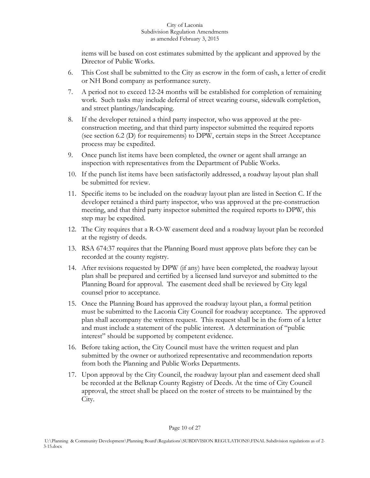items will be based on cost estimates submitted by the applicant and approved by the Director of Public Works.

- 6. This Cost shall be submitted to the City as escrow in the form of cash, a letter of credit or NH Bond company as performance surety.
- 7. A period not to exceed 12-24 months will be established for completion of remaining work. Such tasks may include deferral of street wearing course, sidewalk completion, and street plantings/landscaping.
- 8. If the developer retained a third party inspector, who was approved at the preconstruction meeting, and that third party inspector submitted the required reports (see section 6.2 (D) for requirements) to DPW, certain steps in the Street Acceptance process may be expedited.
- 9. Once punch list items have been completed, the owner or agent shall arrange an inspection with representatives from the Department of Public Works.
- 10. If the punch list items have been satisfactorily addressed, a roadway layout plan shall be submitted for review.
- 11. Specific items to be included on the roadway layout plan are listed in Section C. If the developer retained a third party inspector, who was approved at the pre-construction meeting, and that third party inspector submitted the required reports to DPW, this step may be expedited.
- 12. The City requires that a R-O-W easement deed and a roadway layout plan be recorded at the registry of deeds.
- 13. RSA 674:37 requires that the Planning Board must approve plats before they can be recorded at the county registry.
- 14. After revisions requested by DPW (if any) have been completed, the roadway layout plan shall be prepared and certified by a licensed land surveyor and submitted to the Planning Board for approval. The easement deed shall be reviewed by City legal counsel prior to acceptance.
- 15. Once the Planning Board has approved the roadway layout plan, a formal petition must be submitted to the Laconia City Council for roadway acceptance. The approved plan shall accompany the written request. This request shall be in the form of a letter and must include a statement of the public interest. A determination of "public interest" should be supported by competent evidence.
- 16. Before taking action, the City Council must have the written request and plan submitted by the owner or authorized representative and recommendation reports from both the Planning and Public Works Departments.
- 17. Upon approval by the City Council, the roadway layout plan and easement deed shall be recorded at the Belknap County Registry of Deeds. At the time of City Council approval, the street shall be placed on the roster of streets to be maintained by the City.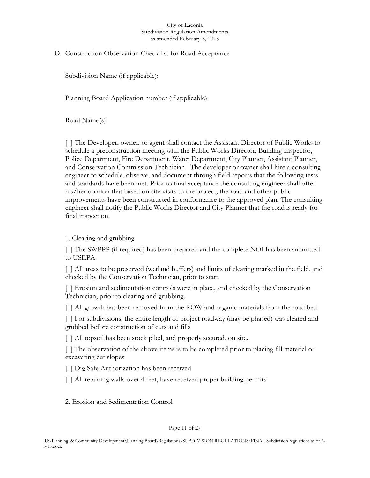## D. Construction Observation Check list for Road Acceptance

Subdivision Name (if applicable):

Planning Board Application number (if applicable):

Road Name(s):

[ ] The Developer, owner, or agent shall contact the Assistant Director of Public Works to schedule a preconstruction meeting with the Public Works Director, Building Inspector, Police Department, Fire Department, Water Department, City Planner, Assistant Planner, and Conservation Commission Technician. The developer or owner shall hire a consulting engineer to schedule, observe, and document through field reports that the following tests and standards have been met. Prior to final acceptance the consulting engineer shall offer his/her opinion that based on site visits to the project, the road and other public improvements have been constructed in conformance to the approved plan. The consulting engineer shall notify the Public Works Director and City Planner that the road is ready for final inspection.

## 1. Clearing and grubbing

[ ] The SWPPP (if required) has been prepared and the complete NOI has been submitted to USEPA.

[ ] All areas to be preserved (wetland buffers) and limits of clearing marked in the field, and checked by the Conservation Technician, prior to start.

[ ] Erosion and sedimentation controls were in place, and checked by the Conservation Technician, prior to clearing and grubbing.

[ ] All growth has been removed from the ROW and organic materials from the road bed.

[ ] For subdivisions, the entire length of project roadway (may be phased) was cleared and grubbed before construction of cuts and fills

[ ] All topsoil has been stock piled, and properly secured, on site.

[ ] The observation of the above items is to be completed prior to placing fill material or excavating cut slopes

[ ] Dig Safe Authorization has been received

[ ] All retaining walls over 4 feet, have received proper building permits.

2. Erosion and Sedimentation Control

### Page 11 of 27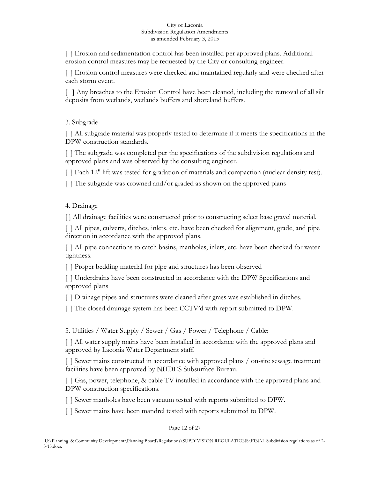[ ] Erosion and sedimentation control has been installed per approved plans. Additional erosion control measures may be requested by the City or consulting engineer.

[ ] Erosion control measures were checked and maintained regularly and were checked after each storm event.

[ ] Any breaches to the Erosion Control have been cleaned, including the removal of all silt deposits from wetlands, wetlands buffers and shoreland buffers.

# 3. Subgrade

[ ] All subgrade material was properly tested to determine if it meets the specifications in the DPW construction standards.

[ ] The subgrade was completed per the specifications of the subdivision regulations and approved plans and was observed by the consulting engineer.

[ ] Each 12" lift was tested for gradation of materials and compaction (nuclear density test).

[] The subgrade was crowned and/or graded as shown on the approved plans

# 4. Drainage

[ ] All drainage facilities were constructed prior to constructing select base gravel material.

[ ] All pipes, culverts, ditches, inlets, etc. have been checked for alignment, grade, and pipe direction in accordance with the approved plans.

[ ] All pipe connections to catch basins, manholes, inlets, etc. have been checked for water tightness.

[ ] Proper bedding material for pipe and structures has been observed

[ ] Underdrains have been constructed in accordance with the DPW Specifications and approved plans

[ ] Drainage pipes and structures were cleaned after grass was established in ditches.

[] The closed drainage system has been CCTV'd with report submitted to DPW.

5. Utilities / Water Supply / Sewer / Gas / Power / Telephone / Cable:

[ ] All water supply mains have been installed in accordance with the approved plans and approved by Laconia Water Department staff.

[ ] Sewer mains constructed in accordance with approved plans / on-site sewage treatment facilities have been approved by NHDES Subsurface Bureau.

[  $\vert$  Gas, power, telephone, & cable TV installed in accordance with the approved plans and DPW construction specifications.

[] Sewer manholes have been vacuum tested with reports submitted to DPW.

[ ] Sewer mains have been mandrel tested with reports submitted to DPW.

### Page 12 of 27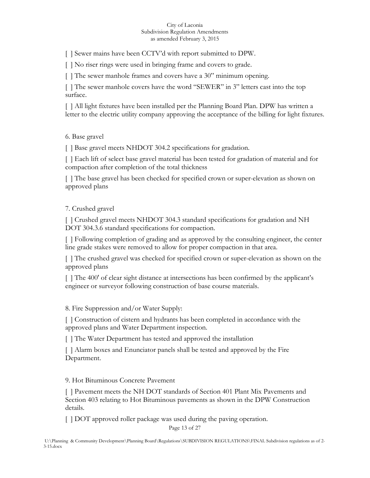[] Sewer mains have been CCTV'd with report submitted to DPW.

[  $\vert$  No riser rings were used in bringing frame and covers to grade.

[] The sewer manhole frames and covers have a 30" minimum opening.

[] The sewer manhole covers have the word "SEWER" in 3" letters cast into the top surface.

[ ] All light fixtures have been installed per the Planning Board Plan. DPW has written a letter to the electric utility company approving the acceptance of the billing for light fixtures.

6. Base gravel

[] Base gravel meets NHDOT 304.2 specifications for gradation.

[ ] Each lift of select base gravel material has been tested for gradation of material and for compaction after completion of the total thickness

[ ] The base gravel has been checked for specified crown or super-elevation as shown on approved plans

### 7. Crushed gravel

[ ] Crushed gravel meets NHDOT 304.3 standard specifications for gradation and NH DOT 304.3.6 standard specifications for compaction.

[ ] Following completion of grading and as approved by the consulting engineer, the center line grade stakes were removed to allow for proper compaction in that area.

[ ] The crushed gravel was checked for specified crown or super-elevation as shown on the approved plans

[ ] The 400' of clear sight distance at intersections has been confirmed by the applicant's engineer or surveyor following construction of base course materials.

8. Fire Suppression and/or Water Supply:

[  $\vert$  ] Construction of cistern and hydrants has been completed in accordance with the approved plans and Water Department inspection.

[] The Water Department has tested and approved the installation

[ ] Alarm boxes and Enunciator panels shall be tested and approved by the Fire Department.

9. Hot Bituminous Concrete Pavement

[ ] Pavement meets the NH DOT standards of Section 401 Plant Mix Pavements and Section 403 relating to Hot Bituminous pavements as shown in the DPW Construction details.

[  $\vert$  DOT approved roller package was used during the paving operation.

Page 13 of 27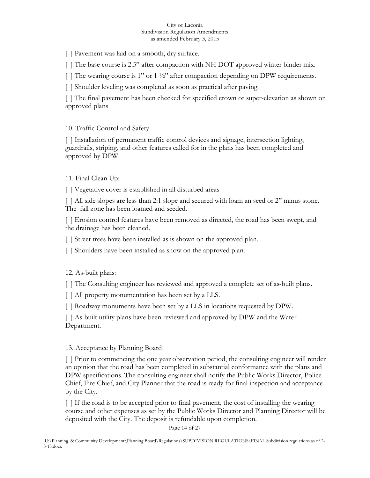[ ] Pavement was laid on a smooth, dry surface.

[ ] The base course is 2.5" after compaction with NH DOT approved winter binder mix.

 $\lceil \cdot \rceil$  The wearing course is 1" or 1 ½" after compaction depending on DPW requirements.

[ ] Shoulder leveling was completed as soon as practical after paving.

[ ] The final pavement has been checked for specified crown or super-elevation as shown on approved plans

10. Traffic Control and Safety

[ ] Installation of permanent traffic control devices and signage, intersection lighting, guardrails, striping, and other features called for in the plans has been completed and approved by DPW.

11. Final Clean Up:

[] Vegetative cover is established in all disturbed areas

[ ] All side slopes are less than 2:1 slope and secured with loam an seed or 2" minus stone. The fall zone has been loamed and seeded.

[ ] Erosion control features have been removed as directed, the road has been swept, and the drainage has been cleaned.

[ ] Street trees have been installed as is shown on the approved plan.

[] Shoulders have been installed as show on the approved plan.

12. As-built plans:

[ ] The Consulting engineer has reviewed and approved a complete set of as-built plans.

[  $\vert$  All property monumentation has been set by a LLS.

[ ] Roadway monuments have been set by a LLS in locations requested by DPW.

[ ] As-built utility plans have been reviewed and approved by DPW and the Water Department.

### 13. Acceptance by Planning Board

[ ] Prior to commencing the one year observation period, the consulting engineer will render an opinion that the road has been completed in substantial conformance with the plans and DPW specifications. The consulting engineer shall notify the Public Works Director, Police Chief, Fire Chief, and City Planner that the road is ready for final inspection and acceptance by the City.

[ ] If the road is to be accepted prior to final pavement, the cost of installing the wearing course and other expenses as set by the Public Works Director and Planning Director will be deposited with the City. The deposit is refundable upon completion.

Page 14 of 27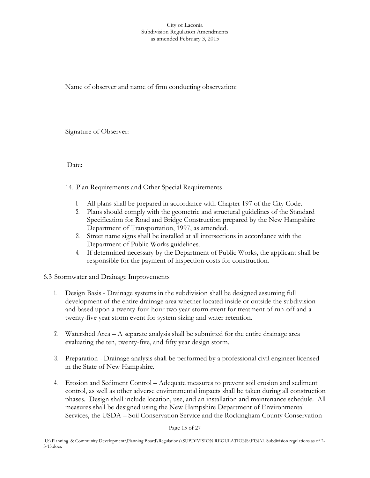Name of observer and name of firm conducting observation:

Signature of Observer:

Date:

14. Plan Requirements and Other Special Requirements

- 1. All plans shall be prepared in accordance with Chapter 197 of the City Code.
- 2. Plans should comply with the geometric and structural guidelines of the Standard Specification for Road and Bridge Construction prepared by the New Hampshire Department of Transportation, 1997, as amended.
- 3. Street name signs shall be installed at all intersections in accordance with the Department of Public Works guidelines.
- 4. If determined necessary by the Department of Public Works, the applicant shall be responsible for the payment of inspection costs for construction.

6.3 Stormwater and Drainage Improvements

- 1. Design Basis Drainage systems in the subdivision shall be designed assuming full development of the entire drainage area whether located inside or outside the subdivision and based upon a twenty-four hour two year storm event for treatment of run-off and a twenty-five year storm event for system sizing and water retention.
- 2. Watershed Area A separate analysis shall be submitted for the entire drainage area evaluating the ten, twenty-five, and fifty year design storm.
- 3. Preparation Drainage analysis shall be performed by a professional civil engineer licensed in the State of New Hampshire.
- 4. Erosion and Sediment Control Adequate measures to prevent soil erosion and sediment control, as well as other adverse environmental impacts shall be taken during all construction phases. Design shall include location, use, and an installation and maintenance schedule. All measures shall be designed using the New Hampshire Department of Environmental Services, the USDA – Soil Conservation Service and the Rockingham County Conservation

Page 15 of 27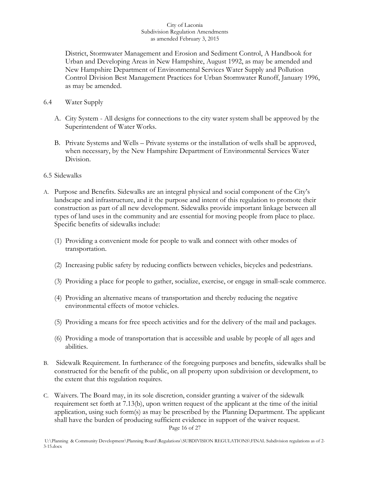District, Stormwater Management and Erosion and Sediment Control, A Handbook for Urban and Developing Areas in New Hampshire, August 1992, as may be amended and New Hampshire Department of Environmental Services Water Supply and Pollution Control Division Best Management Practices for Urban Stormwater Runoff, January 1996, as may be amended.

### 6.4 Water Supply

- A. City System All designs for connections to the city water system shall be approved by the Superintendent of Water Works.
- B. Private Systems and Wells Private systems or the installation of wells shall be approved, when necessary, by the New Hampshire Department of Environmental Services Water Division.

## 6.5 Sidewalks

- A. Purpose and Benefits. Sidewalks are an integral physical and social component of the City's landscape and infrastructure, and it the purpose and intent of this regulation to promote their construction as part of all new development. Sidewalks provide important linkage between all types of land uses in the community and are essential for moving people from place to place. Specific benefits of sidewalks include:
	- (1) Providing a convenient mode for people to walk and connect with other modes of transportation.
	- (2) Increasing public safety by reducing conflicts between vehicles, bicycles and pedestrians.
	- (3) Providing a place for people to gather, socialize, exercise, or engage in small-scale commerce.
	- (4) Providing an alternative means of transportation and thereby reducing the negative environmental effects of motor vehicles.
	- (5) Providing a means for free speech activities and for the delivery of the mail and packages.
	- (6) Providing a mode of transportation that is accessible and usable by people of all ages and abilities.
- B. Sidewalk Requirement. In furtherance of the foregoing purposes and benefits, sidewalks shall be constructed for the benefit of the public, on all property upon subdivision or development, to the extent that this regulation requires.
- Page 16 of 27 C. Waivers. The Board may, in its sole discretion, consider granting a waiver of the sidewalk requirement set forth at 7.13(b), upon written request of the applicant at the time of the initial application, using such form(s) as may be prescribed by the Planning Department. The applicant shall have the burden of producing sufficient evidence in support of the waiver request.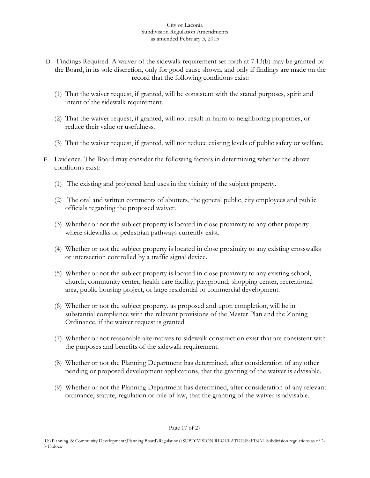- D. Findings Required. A waiver of the sidewalk requirement set forth at 7.13(b) may be granted by the Board, in its sole discretion, only for good cause shown, and only if findings are made on the record that the following conditions exist:
	- (1) That the waiver request, if granted, will be consistent with the stated purposes, spirit and intent of the sidewalk requirement.
	- (2) That the waiver request, if granted, will not result in harm to neighboring properties, or reduce their value or usefulness.
	- (3) That the waiver request, if granted, will not reduce existing levels of public safety or welfare.
- E. Evidence. The Board may consider the following factors in determining whether the above conditions exist:
	- (1) The existing and projected land uses in the vicinity of the subject property.
	- (2) The oral and written comments of abutters, the general public, city employees and public officials regarding the proposed waiver.
	- (3) Whether or not the subject property is located in close proximity to any other property where sidewalks or pedestrian pathways currently exist.
	- (4) Whether or not the subject property is located in close proximity to any existing crosswalks or intersection controlled by a traffic signal device.
	- (5) Whether or not the subject property is located in close proximity to any existing school, church, community center, health care facility, playground, shopping center, recreational area, public housing project, or large residential or commercial development.
	- (6) Whether or not the subject property, as proposed and upon completion, will be in substantial compliance with the relevant provisions of the Master Plan and the Zoning Ordinance, if the waiver request is granted.
	- (7) Whether or not reasonable alternatives to sidewalk construction exist that are consistent with the purposes and benefits of the sidewalk requirement.
	- (8) Whether or not the Planning Department has determined, after consideration of any other pending or proposed development applications, that the granting of the waiver is advisable.
	- (9) Whether or not the Planning Department has determined, after consideration of any relevant ordinance, statute, regulation or rule of law, that the granting of the waiver is advisable.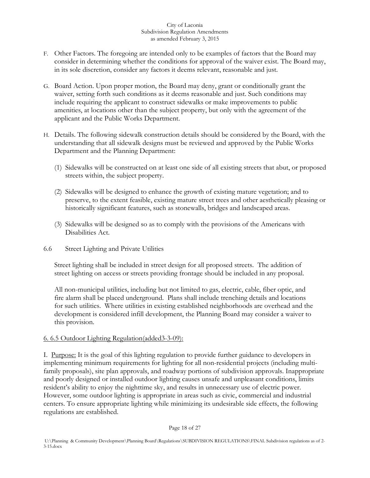- F. Other Factors. The foregoing are intended only to be examples of factors that the Board may consider in determining whether the conditions for approval of the waiver exist. The Board may, in its sole discretion, consider any factors it deems relevant, reasonable and just.
- G. Board Action. Upon proper motion, the Board may deny, grant or conditionally grant the waiver, setting forth such conditions as it deems reasonable and just. Such conditions may include requiring the applicant to construct sidewalks or make improvements to public amenities, at locations other than the subject property, but only with the agreement of the applicant and the Public Works Department.
- H. Details. The following sidewalk construction details should be considered by the Board, with the understanding that all sidewalk designs must be reviewed and approved by the Public Works Department and the Planning Department:
	- (1) Sidewalks will be constructed on at least one side of all existing streets that abut, or proposed streets within, the subject property.
	- (2) Sidewalks will be designed to enhance the growth of existing mature vegetation; and to preserve, to the extent feasible, existing mature street trees and other aesthetically pleasing or historically significant features, such as stonewalls, bridges and landscaped areas.
	- (3) Sidewalks will be designed so as to comply with the provisions of the Americans with Disabilities Act.
- 6.6 Street Lighting and Private Utilities

Street lighting shall be included in street design for all proposed streets. The addition of street lighting on access or streets providing frontage should be included in any proposal.

All non-municipal utilities, including but not limited to gas, electric, cable, fiber optic, and fire alarm shall be placed underground. Plans shall include trenching details and locations for such utilities. Where utilities in existing established neighborhoods are overhead and the development is considered infill development, the Planning Board may consider a waiver to this provision.

### 6. 6.5 Outdoor Lighting Regulation(added3-3-09):

I. Purpose: It is the goal of this lighting regulation to provide further guidance to developers in implementing minimum requirements for lighting for all non-residential projects (including multifamily proposals), site plan approvals, and roadway portions of subdivision approvals. Inappropriate and poorly designed or installed outdoor lighting causes unsafe and unpleasant conditions, limits resident's ability to enjoy the nighttime sky, and results in unnecessary use of electric power. However, some outdoor lighting is appropriate in areas such as civic, commercial and industrial centers. To ensure appropriate lighting while minimizing its undesirable side effects, the following regulations are established.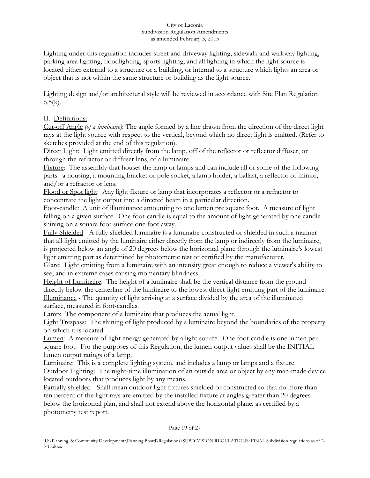Lighting under this regulation includes street and driveway lighting, sidewalk and walkway lighting, parking area lighting, floodlighting, sports lighting, and all lighting in which the light source is located either external to a structure or a building, or internal to a structure which lights an area or object that is not within the same structure or building as the light source.

Lighting design and/or architectural style will be reviewed in accordance with Site Plan Regulation  $6.5(k)$ .

# II. Definitions:

Cut-off Angle *(of a luminaire)*: The angle formed by a line drawn from the direction of the direct light rays at the light source with respect to the vertical, beyond which no direct light is emitted. (Refer to sketches provided at the end of this regulation).

Direct Light: Light emitted directly from the lamp, off of the reflector or reflector diffuser, or through the refractor or diffuser lens, of a luminaire.

Fixture: The assembly that houses the lamp or lamps and can include all or some of the following parts: a housing, a mounting bracket or pole socket, a lamp holder, a ballast, a reflector or mirror, and/or a refractor or lens.

Flood or Spot light: Any light fixture or lamp that incorporates a reflector or a refractor to concentrate the light output into a directed beam in a particular direction.

Foot-candle*:* A unit of illuminance amounting to one lumen pre square foot. A measure of light falling on a given surface. One foot-candle is equal to the amount of light generated by one candle shining on a square foot surface one foot away.

Fully Shielded - A fully shielded luminaire is a luminaire constructed or shielded in such a manner that all light emitted by the luminaire either directly from the lamp or indirectly from the luminaire, is projected below an angle of 20 degrees below the horizontal plane through the luminaire's lowest light emitting part as determined by photometric test or certified by the manufacturer.

Glare: Light emitting from a luminaire with an intensity great enough to reduce a viewer's ability to see, and in extreme cases causing momentary blindness.

Height of Luminaire: The height of a luminaire shall be the vertical distance from the ground directly below the centerline of the luminaire to the lowest direct-light-emitting part of the luminaire. Illuminance - The quantity of light arriving at a surface divided by the area of the illuminated surface, measured in foot-candles.

Lamp: The component of a luminaire that produces the actual light.

Light Trespass: The shining of light produced by a luminaire beyond the boundaries of the property on which it is located.

Lumen: A measure of light energy generated by a light source. One foot-candle is one lumen per square foot. For the purposes of this Regulation, the lumen-output values shall be the INITIAL lumen output ratings of a lamp.

Luminaire: This is a complete lighting system, and includes a lamp or lamps and a fixture. Outdoor Lighting: The night-time illumination of an outside area or object by any man-made device located outdoors that produces light by any means.

Partially shielded - Shall mean outdoor light fixtures shielded or constructed so that no more than ten percent of the light rays are emitted by the installed fixture at angles greater than 20 degrees below the horizontal plan, and shall not extend above the horizontal plane, as certified by a photometry test report.

### Page 19 of 27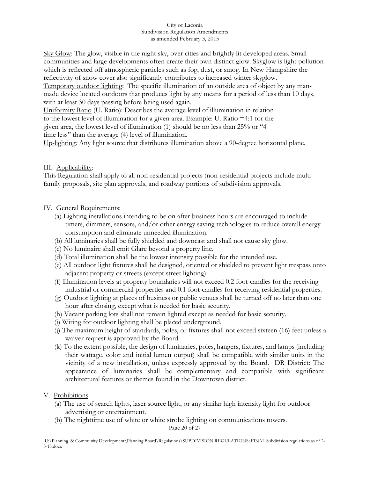Sky Glow: The glow, visible in the night sky, over cities and brightly lit developed areas. Small communities and large developments often create their own distinct glow. Skyglow is light pollution which is reflected off atmospheric particles such as fog, dust, or smog. In New Hampshire the reflectivity of snow cover also significantly contributes to increased winter skyglow. Temporary outdoor lighting: The specific illumination of an outside area of object by any manmade device located outdoors that produces light by any means for a period of less than 10 days, with at least 30 days passing before being used again.

Uniformity Ratio (U. Ratio): Describes the average level of illumination in relation to the lowest level of illumination for a given area. Example: U. Ratio =4:1 for the given area, the lowest level of illumination (1) should be no less than 25% or "4 time less" than the average (4) level of illumination.

Up-lighting*:* Any light source that distributes illumination above a 90-degree horizontal plane.

## III. Applicability:

This Regulation shall apply to all non-residential projects (non-residential projects include multifamily proposals, site plan approvals, and roadway portions of subdivision approvals.

## IV. General Requirements:

- (a) Lighting installations intending to be on after business hours are encouraged to include timers, dimmers, sensors, and/or other energy saving technologies to reduce overall energy consumption and eliminate unneeded illumination.
- (b) All luminaries shall be fully shielded and downcast and shall not cause sky glow.
- (c) No luminaire shall emit Glare beyond a property line.
- (d) Total illumination shall be the lowest intensity possible for the intended use.
- (e) All outdoor light fixtures shall be designed, oriented or shielded to prevent light trespass onto adjacent property or streets (except street lighting).
- (f) Illumination levels at property boundaries will not exceed 0.2 foot-candles for the receiving industrial or commercial properties and 0.1 foot-candles for receiving residential properties.
- (g) Outdoor lighting at places of business or public venues shall be turned off no later than one hour after closing, except what is needed for basic security.
- (h) Vacant parking lots shall not remain lighted except as needed for basic security.
- (i) Wiring for outdoor lighting shall be placed underground.
- (j) The maximum height of standards, poles, or fixtures shall not exceed sixteen (16) feet unless a waiver request is approved by the Board.
- (k) To the extent possible, the design of luminaries, poles, hangers, fixtures, and lamps (including their wattage, color and initial lumen output) shall be compatible with similar units in the vicinity of a new installation, unless expressly approved by the Board. DR District: The appearance of luminaries shall be complementary and compatible with significant architectural features or themes found in the Downtown district.

### V. Prohibitions:

- (a) The use of search lights, laser source light, or any similar high intensity light for outdoor advertising or entertainment.
- (b) The nighttime use of white or white strobe lighting on communications towers.

Page 20 of 27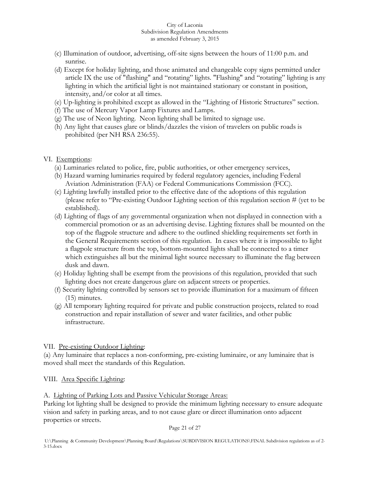- (c) Illumination of outdoor, advertising, off-site signs between the hours of 11:00 p.m. and sunrise.
- (d) Except for holiday lighting, and those animated and changeable copy signs permitted under article IX the use of "flashing" and "rotating" lights. "Flashing" and "rotating" lighting is any lighting in which the artificial light is not maintained stationary or constant in position, intensity, and/or color at all times.
- (e) Up-lighting is prohibited except as allowed in the "Lighting of Historic Structures" section.
- (f) The use of Mercury Vapor Lamp Fixtures and Lamps.
- (g) The use of Neon lighting. Neon lighting shall be limited to signage use.
- (h) Any light that causes glare or blinds/dazzles the vision of travelers on public roads is prohibited (per NH RSA 236:55).

# VI. Exemptions:

- (a) Luminaries related to police, fire, public authorities, or other emergency services,
- (b) Hazard warning luminaries required by federal regulatory agencies, including Federal Aviation Administration (FAA) or Federal Communications Commission (FCC).
- (c) Lighting lawfully installed prior to the effective date of the adoptions of this regulation (please refer to "Pre-existing Outdoor Lighting section of this regulation section # (yet to be established).
- (d) Lighting of flags of any governmental organization when not displayed in connection with a commercial promotion or as an advertising devise. Lighting fixtures shall be mounted on the top of the flagpole structure and adhere to the outlined shielding requirements set forth in the General Requirements section of this regulation. In cases where it is impossible to light a flagpole structure from the top, bottom-mounted lights shall be connected to a timer which extinguishes all but the minimal light source necessary to illuminate the flag between dusk and dawn.
- (e) Holiday lighting shall be exempt from the provisions of this regulation, provided that such lighting does not create dangerous glare on adjacent streets or properties.
- (f) Security lighting controlled by sensors set to provide illumination for a maximum of fifteen (15) minutes.
- (g) All temporary lighting required for private and public construction projects, related to road construction and repair installation of sewer and water facilities, and other public infrastructure.

# VII. Pre-existing Outdoor Lighting:

(a) Any luminaire that replaces a non-conforming, pre-existing luminaire, or any luminaire that is moved shall meet the standards of this Regulation.

VIII. Area Specific Lighting:

# A. Lighting of Parking Lots and Passive Vehicular Storage Areas:

Parking lot lighting shall be designed to provide the minimum lighting necessary to ensure adequate vision and safety in parking areas, and to not cause glare or direct illumination onto adjacent properties or streets.

Page 21 of 27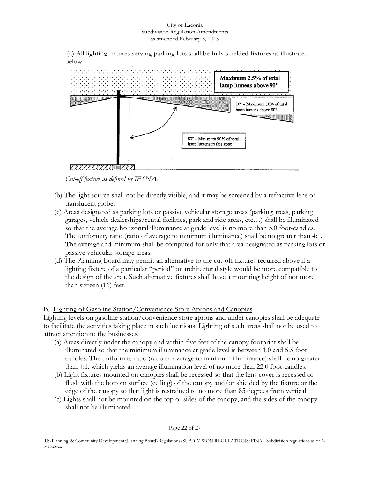(a) All lighting fixtures serving parking lots shall be fully shielded fixtures as illustrated below.



*Cut-off fixture as defined by IESNA.*

- (b) The light source shall not be directly visible, and it may be screened by a refractive lens or translucent globe.
- (c) Areas designated as parking lots or passive vehicular storage areas (parking areas, parking garages, vehicle dealerships/rental facilities, park and ride areas, etc…) shall be illuminated so that the average horizontal illuminance at grade level is no more than 5.0 foot-candles. The uniformity ratio (ratio of average to minimum illuminance) shall be no greater than 4:1. The average and minimum shall be computed for only that area designated as parking lots or passive vehicular storage areas.
- (d) The Planning Board may permit an alternative to the cut-off fixtures required above if a lighting fixture of a particular "period" or architectural style would be more compatible to the design of the area. Such alternative fixtures shall have a mounting height of not more than sixteen (16) feet.

# B. Lighting of Gasoline Station/Convenience Store Aprons and Canopies:

Lighting levels on gasoline station/convenience store aprons and under canopies shall be adequate to facilitate the activities taking place in such locations. Lighting of such areas shall not be used to attract attention to the businesses.

- (a) Areas directly under the canopy and within five feet of the canopy footprint shall be illuminated so that the minimum illuminance at grade level is between 1.0 and 5.5 foot candles. The uniformity ratio (ratio of average to minimum illuminance) shall be no greater than 4:1, which yields an average illumination level of no more than 22.0 foot-candles.
- (b) Light fixtures mounted on canopies shall be recessed so that the lens cover is recessed or flush with the bottom surface (ceiling) of the canopy and/or shielded by the fixture or the edge of the canopy so that light is restrained to no more than 85 degrees from vertical.
- (c) Lights shall not be mounted on the top or sides of the canopy, and the sides of the canopy shall not be illuminated.

Page 22 of 27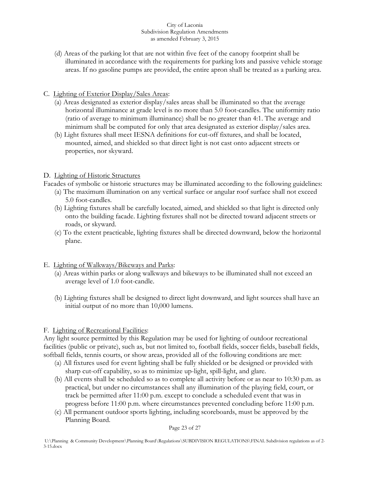(d) Areas of the parking lot that are not within five feet of the canopy footprint shall be illuminated in accordance with the requirements for parking lots and passive vehicle storage areas. If no gasoline pumps are provided, the entire apron shall be treated as a parking area.

# C. Lighting of Exterior Display/Sales Areas:

- (a) Areas designated as exterior display/sales areas shall be illuminated so that the average horizontal illuminance at grade level is no more than 5.0 foot-candles. The uniformity ratio (ratio of average to minimum illuminance) shall be no greater than 4:1. The average and minimum shall be computed for only that area designated as exterior display/sales area.
- (b) Light fixtures shall meet IESNA definitions for cut-off fixtures, and shall be located, mounted, aimed, and shielded so that direct light is not cast onto adjacent streets or properties, nor skyward.

# D. Lighting of Historic Structures

Facades of symbolic or historic structures may be illuminated according to the following guidelines:

- (a) The maximum illumination on any vertical surface or angular roof surface shall not exceed 5.0 foot-candles.
- (b) Lighting fixtures shall be carefully located, aimed, and shielded so that light is directed only onto the building facade. Lighting fixtures shall not be directed toward adjacent streets or roads, or skyward.
- (c) To the extent practicable, lighting fixtures shall be directed downward, below the horizontal plane.
- E. Lighting of Walkways/Bikeways and Parks:
	- (a) Areas within parks or along walkways and bikeways to be illuminated shall not exceed an average level of 1.0 foot-candle.
	- (b) Lighting fixtures shall be designed to direct light downward, and light sources shall have an initial output of no more than 10,000 lumens.

# F. Lighting of Recreational Facilities:

Any light source permitted by this Regulation may be used for lighting of outdoor recreational facilities (public or private), such as, but not limited to, football fields, soccer fields, baseball fields, softball fields, tennis courts, or show areas, provided all of the following conditions are met:

- (a) All fixtures used for event lighting shall be fully shielded or be designed or provided with sharp cut-off capability, so as to minimize up-light, spill-light, and glare.
- (b) All events shall be scheduled so as to complete all activity before or as near to 10:30 p.m. as practical, but under no circumstances shall any illumination of the playing field, court, or track be permitted after 11:00 p.m. except to conclude a scheduled event that was in progress before 11:00 p.m. where circumstances prevented concluding before 11:00 p.m.
- (c) All permanent outdoor sports lighting, including scoreboards, must be approved by the Planning Board.

Page 23 of 27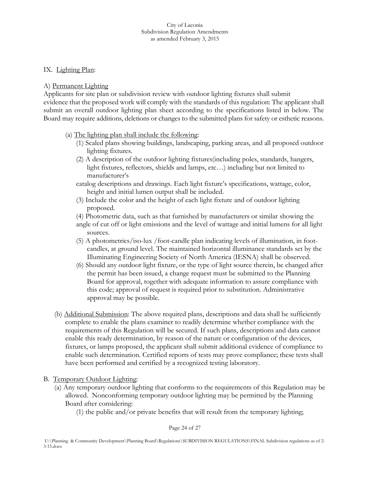## IX. Lighting Plan:

### A) Permanent Lighting

Applicants for site plan or subdivision review with outdoor lighting fixtures shall submit evidence that the proposed work will comply with the standards of this regulation: The applicant shall submit an overall outdoor lighting plan sheet according to the specifications listed in below. The Board may require additions, deletions or changes to the submitted plans for safety or esthetic reasons.

- (a) The lighting plan shall include the following:
	- (1) Scaled plans showing buildings, landscaping, parking areas, and all proposed outdoor lighting fixtures.
	- (2) A description of the outdoor lighting fixtures(including poles, standards, hangers, light fixtures, reflectors, shields and lamps, etc…) including but not limited to manufacturer's
	- catalog descriptions and drawings. Each light fixture's specifications, wattage, color, height and initial lumen output shall be included.
	- (3) Include the color and the height of each light fixture and of outdoor lighting proposed.
	- (4) Photometric data, such as that furnished by manufacturers or similar showing the angle of cut off or light emissions and the level of wattage and initial lumens for all light sources.
	- (5) A photometrics/iso-lux /foot-candle plan indicating levels of illumination, in footcandles, at ground level. The maintained horizontal illuminance standards set by the Illuminating Engineering Society of North America (IESNA) shall be observed.
	- (6) Should any outdoor light fixture, or the type of light source therein, be changed after the permit has been issued, a change request must be submitted to the Planning Board for approval, together with adequate information to assure compliance with this code; approval of request is required prior to substitution. Administrative approval may be possible.
- (b) Additional Submission: The above required plans, descriptions and data shall be sufficiently complete to enable the plans examiner to readily determine whether compliance with the requirements of this Regulation will be secured. If such plans, descriptions and data cannot enable this ready determination, by reason of the nature or configuration of the devices, fixtures, or lamps proposed, the applicant shall submit additional evidence of compliance to enable such determination. Certified reports of tests may prove compliance; these tests shall have been performed and certified by a recognized testing laboratory.
- B. Temporary Outdoor Lighting:
	- (a) Any temporary outdoor lighting that conforms to the requirements of this Regulation may be allowed. Nonconforming temporary outdoor lighting may be permitted by the Planning Board after considering:
		- (1) the public and/or private benefits that will result from the temporary lighting;

Page 24 of 27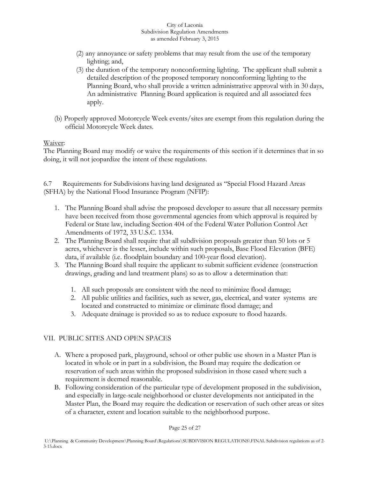- (2) any annoyance or safety problems that may result from the use of the temporary lighting; and,
- (3) the duration of the temporary nonconforming lighting. The applicant shall submit a detailed description of the proposed temporary nonconforming lighting to the Planning Board, who shall provide a written administrative approval with in 30 days, An administrative Planning Board application is required and all associated fees apply.
- (b) Properly approved Motorcycle Week events/sites are exempt from this regulation during the official Motorcycle Week dates.

## Waiver:

The Planning Board may modify or waive the requirements of this section if it determines that in so doing, it will not jeopardize the intent of these regulations.

6.7 Requirements for Subdivisions having land designated as "Special Flood Hazard Areas (SFHA) by the National Flood Insurance Program (NFIP):

- 1. The Planning Board shall advise the proposed developer to assure that all necessary permits have been received from those governmental agencies from which approval is required by Federal or State law, including Section 404 of the Federal Water Pollution Control Act Amendments of 1972, 33 U.S.C. 1334.
- 2. The Planning Board shall require that all subdivision proposals greater than 50 lots or 5 acres, whichever is the lesser, include within such proposals, Base Flood Elevation (BFE) data, if available (i.e. floodplain boundary and 100-year flood elevation).
- 3. The Planning Board shall require the applicant to submit sufficient evidence (construction drawings, grading and land treatment plans) so as to allow a determination that:
	- 1. All such proposals are consistent with the need to minimize flood damage;
	- 2. All public utilities and facilities, such as sewer, gas, electrical, and water systems are located and constructed to minimize or eliminate flood damage; and
	- 3. Adequate drainage is provided so as to reduce exposure to flood hazards.

# VII. PUBLIC SITES AND OPEN SPACES

- A. Where a proposed park, playground, school or other public use shown in a Master Plan is located in whole or in part in a subdivision, the Board may require the dedication or reservation of such areas within the proposed subdivision in those cased where such a requirement is deemed reasonable.
- B. Following consideration of the particular type of development proposed in the subdivision, and especially in large-scale neighborhood or cluster developments not anticipated in the Master Plan, the Board may require the dedication or reservation of such other areas or sites of a character, extent and location suitable to the neighborhood purpose.

### Page 25 of 27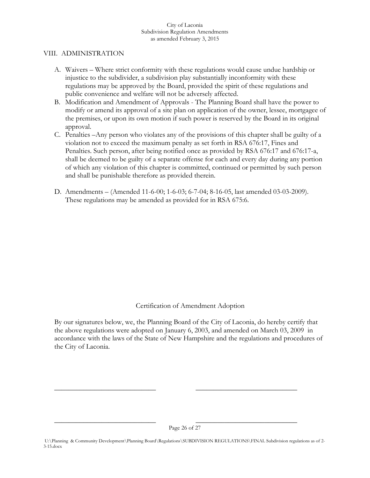### VIII. ADMINISTRATION

- A. Waivers Where strict conformity with these regulations would cause undue hardship or injustice to the subdivider, a subdivision play substantially inconformity with these regulations may be approved by the Board, provided the spirit of these regulations and public convenience and welfare will not be adversely affected.
- B. Modification and Amendment of Approvals The Planning Board shall have the power to modify or amend its approval of a site plan on application of the owner, lessee, mortgagee of the premises, or upon its own motion if such power is reserved by the Board in its original approval.
- C. Penalties –Any person who violates any of the provisions of this chapter shall be guilty of a violation not to exceed the maximum penalty as set forth in RSA 676:17, Fines and Penalties. Such person, after being notified once as provided by RSA 676:17 and 676:17-a, shall be deemed to be guilty of a separate offense for each and every day during any portion of which any violation of this chapter is committed, continued or permitted by such person and shall be punishable therefore as provided therein.
- D. Amendments (Amended 11-6-00; 1-6-03; 6-7-04; 8-16-05, last amended 03-03-2009). These regulations may be amended as provided for in RSA 675:6.

# Certification of Amendment Adoption

By our signatures below, we, the Planning Board of the City of Laconia, do hereby certify that the above regulations were adopted on January 6, 2003, and amended on March 03, 2009 in accordance with the laws of the State of New Hampshire and the regulations and procedures of the City of Laconia.

\_\_\_\_\_\_\_\_\_\_\_\_\_\_\_\_\_\_\_\_\_\_\_\_\_\_\_\_ \_\_\_\_\_\_\_\_\_\_\_\_\_\_\_\_\_\_\_\_\_\_\_\_\_\_\_\_

\_\_\_\_\_\_\_\_\_\_\_\_\_\_\_\_\_\_\_\_\_\_\_\_\_\_\_\_ \_\_\_\_\_\_\_\_\_\_\_\_\_\_\_\_\_\_\_\_\_\_\_\_\_\_\_\_

Page 26 of 27

U:\Planning & Community Development\Planning Board\Regulations\SUBDIVISION REGULATIONS\FINAL Subdivision regulations as of 2- 3-15.docx